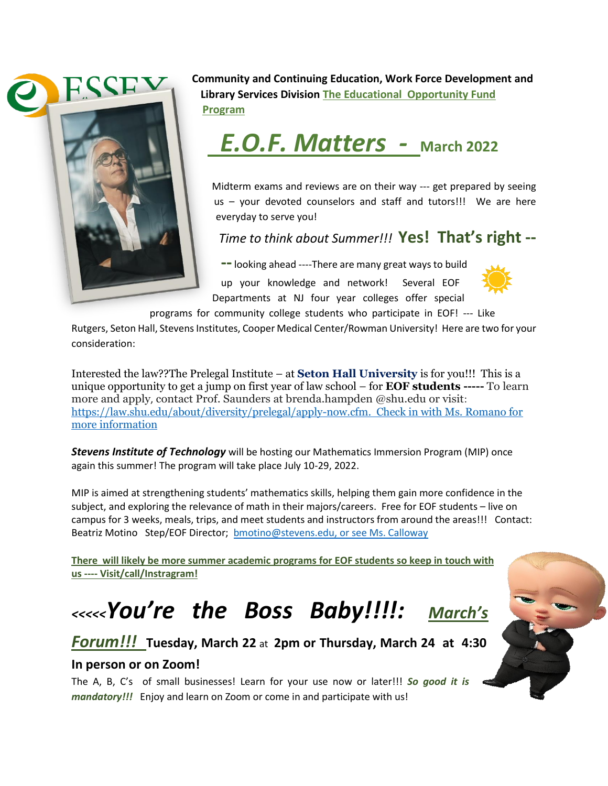

**Community and Continuing Education, Work Force Development and Library Services Division The Educational Opportunity Fund Program** 



Midterm exams and reviews are on their way --- get prepared by seeing us – your devoted counselors and staff and tutors!!! We are here everyday to serve you!

*Time to think about Summer!!!* **Yes! That's right --**

**--**looking ahead ----There are many great ways to build up your knowledge and network! Several EOF Departments at NJ four year colleges offer special



programs for community college students who participate in EOF! --- [Like](https://proofmart.com/product/free-sun-png-hd-png-transparent-images-background-free-download-2/) 

Rutgers, Seton Hall, Stevens Institutes, Cooper Medical Center/Rowman University! Here a[re two](https://proofmart.com/product/free-sun-png-hd-png-transparent-images-background-free-download-2/) for your consideration:

Interested the law??The Prelegal Institute – at **Seton Hall University** is for you!!! This is a unique opportunity to get a jump on first year of law school – for **EOF students -----** [To learn](http://law.shu.edu/About/diversity/prelegal/index.cfm)  more and apply, [contact Prof. Saunders at brenda.hampden @shu.edu or visit](http://law.shu.edu/About/diversity/prelegal/index.cfm): [https://law.shu.edu/about/diversity/prelegal/apply-now.cfm.](https://law.shu.edu/about/diversity/prelegal/apply-now.cfm) Check in with Ms. [Roman](https://creativecommons.org/licenses/by/3.0/)o for more information

*Stevens Institute of Technology* will be hosting our Mathematics Immersion Program (MIP) once again this summer! The program will take place July 10-29, 2022.

MIP is aimed at strengthening students' mathematics skills, helping them gain more confidence in the subject, and exploring the relevance of math in their majors/careers. Free for EOF students – live on campus for 3 weeks, meals, trips, and meet students and instructors from around the areas!!! Contact: Beatriz Motino Step/EOF Director; [bmotino@stevens.edu,](mailto:bmotino@stevens.edu) or see Ms. Calloway

**There will likely be more summer academic programs for EOF students so keep in touch with us ---- Visit/call/Instragram!**

# *<<<<<You're the Boss Baby!!!!: March's*

## *Forum!!!* **Tuesday, March 22** at **2pm or Thursday, March 24 at 4:30**

### **In person or on Zoom!**

The A, B, C's of small businesses! Learn for your use now or later!!! *So good it is mandatory!!!* Enjoy and learn on Zoom or come in and participate with us!